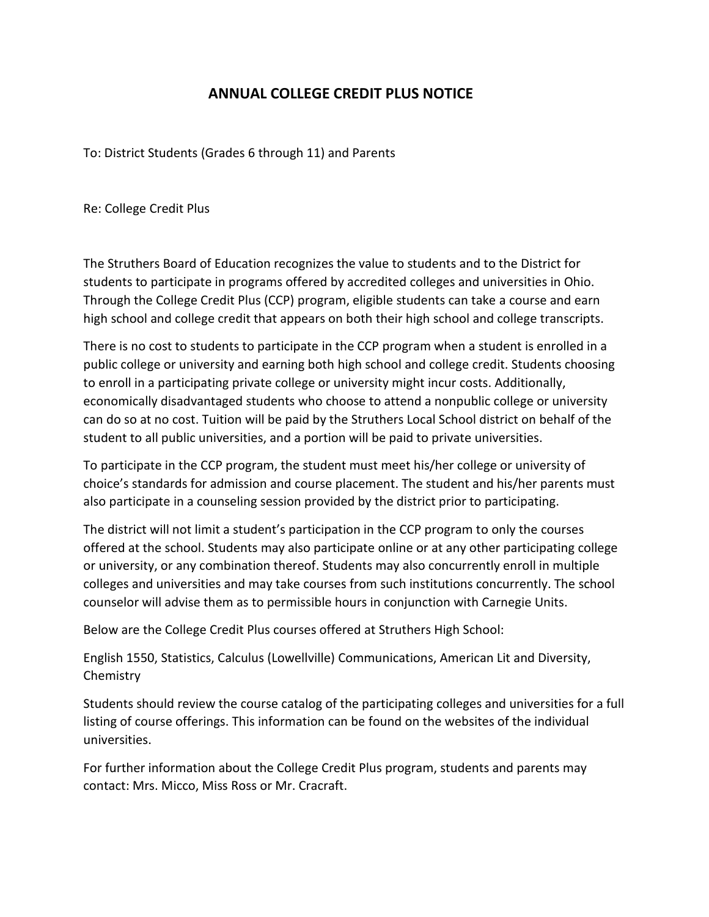## **ANNUAL COLLEGE CREDIT PLUS NOTICE**

To: District Students (Grades 6 through 11) and Parents

Re: College Credit Plus

The Struthers Board of Education recognizes the value to students and to the District for students to participate in programs offered by accredited colleges and universities in Ohio. Through the College Credit Plus (CCP) program, eligible students can take a course and earn high school and college credit that appears on both their high school and college transcripts.

There is no cost to students to participate in the CCP program when a student is enrolled in a public college or university and earning both high school and college credit. Students choosing to enroll in a participating private college or university might incur costs. Additionally, economically disadvantaged students who choose to attend a nonpublic college or university can do so at no cost. Tuition will be paid by the Struthers Local School district on behalf of the student to all public universities, and a portion will be paid to private universities.

To participate in the CCP program, the student must meet his/her college or university of choice's standards for admission and course placement. The student and his/her parents must also participate in a counseling session provided by the district prior to participating.

The district will not limit a student's participation in the CCP program to only the courses offered at the school. Students may also participate online or at any other participating college or university, or any combination thereof. Students may also concurrently enroll in multiple colleges and universities and may take courses from such institutions concurrently. The school counselor will advise them as to permissible hours in conjunction with Carnegie Units.

Below are the College Credit Plus courses offered at Struthers High School:

English 1550, Statistics, Calculus (Lowellville) Communications, American Lit and Diversity, Chemistry

Students should review the course catalog of the participating colleges and universities for a full listing of course offerings. This information can be found on the websites of the individual universities.

For further information about the College Credit Plus program, students and parents may contact: Mrs. Micco, Miss Ross or Mr. Cracraft.